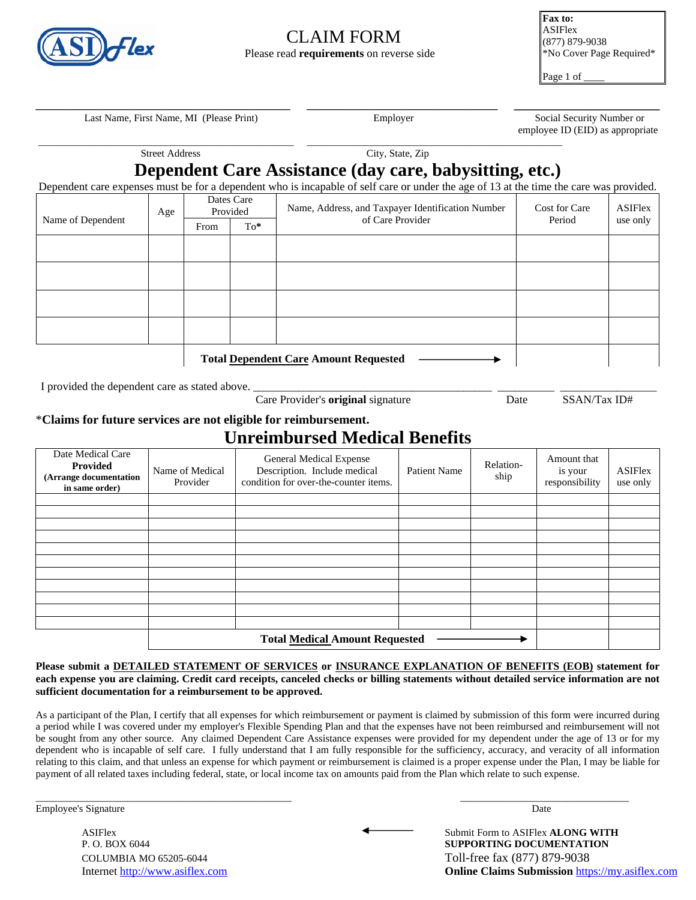

# CLAIM FORM Please read **requirements** on reverse side

**Fax to:**  ASIFlex (877) 879-9038 \*No Cover Page Required\*

Page 1 of

Last Name, First Name, MI (Please Print) Employer Employer Social Security Number or

employee ID (EID) as appropriate

| <b>Street Address</b> |     |                        |        | City, State, Zip                                                                                                                        |               |                |  |
|-----------------------|-----|------------------------|--------|-----------------------------------------------------------------------------------------------------------------------------------------|---------------|----------------|--|
|                       |     |                        |        | Dependent Care Assistance (day care, babysitting, etc.)                                                                                 |               |                |  |
|                       |     |                        |        | Dependent care expenses must be for a dependent who is incapable of self care or under the age of 13 at the time the care was provided. |               |                |  |
| Name of Dependent     | Age | Dates Care<br>Provided |        | Name, Address, and Taxpayer Identification Number                                                                                       | Cost for Care | <b>ASIFlex</b> |  |
|                       |     | From                   | $To^*$ | of Care Provider                                                                                                                        | Period        | use only       |  |
|                       |     |                        |        |                                                                                                                                         |               |                |  |
|                       |     |                        |        |                                                                                                                                         |               |                |  |
|                       |     |                        |        |                                                                                                                                         |               |                |  |
|                       |     |                        |        |                                                                                                                                         |               |                |  |
|                       |     |                        |        |                                                                                                                                         |               |                |  |
|                       |     |                        |        |                                                                                                                                         |               |                |  |
|                       |     |                        |        |                                                                                                                                         |               |                |  |
|                       |     |                        |        |                                                                                                                                         |               |                |  |
|                       |     |                        |        | <b>Total Dependent Care Amount Requested</b>                                                                                            |               |                |  |

I provided the dependent care as stated above.

Care Provider's **original** signature Date SSAN/Tax ID#

#### \***Claims for future services are not eligible for reimbursement.**

## **Unreimbursed Medical Benefits**

| Date Medical Care<br>Provided<br>(Arrange documentation<br>in same order) | Name of Medical<br>Provider | General Medical Expense<br>Description. Include medical<br>condition for over-the-counter items. | <b>Patient Name</b> | Relation-<br>ship | Amount that<br>is your<br>responsibility | <b>ASIFlex</b><br>use only |
|---------------------------------------------------------------------------|-----------------------------|--------------------------------------------------------------------------------------------------|---------------------|-------------------|------------------------------------------|----------------------------|
|                                                                           |                             |                                                                                                  |                     |                   |                                          |                            |
|                                                                           |                             |                                                                                                  |                     |                   |                                          |                            |
|                                                                           |                             |                                                                                                  |                     |                   |                                          |                            |
|                                                                           |                             |                                                                                                  |                     |                   |                                          |                            |
|                                                                           |                             |                                                                                                  |                     |                   |                                          |                            |
|                                                                           |                             |                                                                                                  |                     |                   |                                          |                            |
|                                                                           |                             |                                                                                                  |                     |                   |                                          |                            |
|                                                                           |                             |                                                                                                  |                     |                   |                                          |                            |
|                                                                           |                             |                                                                                                  |                     |                   |                                          |                            |
|                                                                           |                             |                                                                                                  |                     |                   |                                          |                            |
|                                                                           |                             |                                                                                                  |                     |                   |                                          |                            |
|                                                                           |                             |                                                                                                  |                     |                   |                                          |                            |

**Please submit a DETAILED STATEMENT OF SERVICES or INSURANCE EXPLANATION OF BENEFITS (EOB) statement for each expense you are claiming. Credit card receipts, canceled checks or billing statements without detailed service information are not sufficient documentation for a reimbursement to be approved.** 

As a participant of the Plan, I certify that all expenses for which reimbursement or payment is claimed by submission of this form were incurred during a period while I was covered under my employer's Flexible Spending Plan and that the expenses have not been reimbursed and reimbursement will not be sought from any other source. Any claimed Dependent Care Assistance expenses were provided for my dependent under the age of 13 or for my dependent who is incapable of self care. I fully understand that I am fully responsible for the sufficiency, accuracy, and veracity of all information relating to this claim, and that unless an expense for which payment or reimbursement is claimed is a proper expense under the Plan, I may be liable for payment of all related taxes including federal, state, or local income tax on amounts paid from the Plan which relate to such expense.

\_\_\_\_\_\_\_\_\_\_\_\_\_\_\_\_\_\_\_\_\_\_\_\_\_\_\_\_\_\_\_\_\_\_\_\_\_\_\_\_\_\_\_\_\_\_\_\_\_\_ \_\_\_\_\_\_\_\_\_\_\_\_\_\_\_\_\_\_\_\_\_\_\_\_\_\_\_\_\_\_\_\_\_

Employee's Signature Date

ASIFlex 
Submit Form to ASIFlex 
ALONG WITH P. O. BOX 6044 **SUPPORTING DOCUMENTATION**  COLUMBIA MO 65205-6044 Toll-free fax (877) 879-9038 Internet [http://www.asiflex.com](http://www.asiflex.com/) **Online Claims Submission** [https://my.asiflex.com](https://my.asiflex.com/)